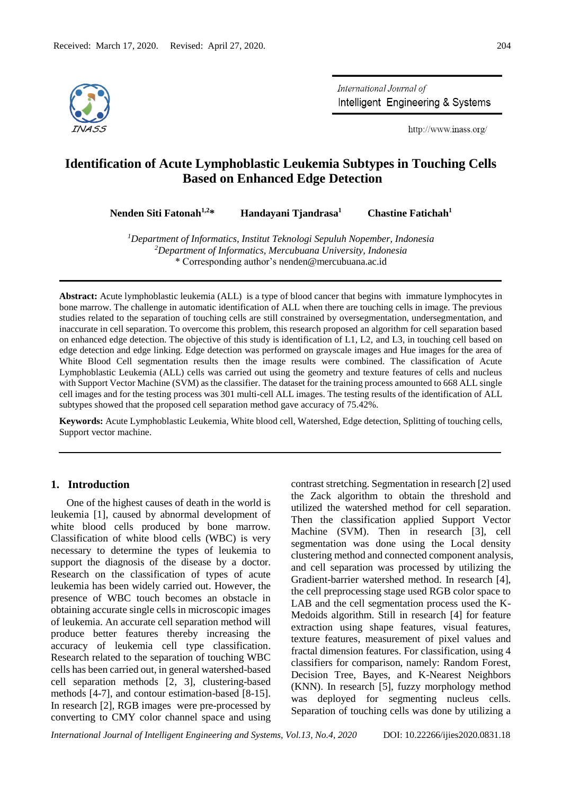

International Journal of Intelligent Engineering & Systems

http://www.inass.org/

# **Identification of Acute Lymphoblastic Leukemia Subtypes in Touching Cells Based on Enhanced Edge Detection**

**Nenden Siti Fatonah1,2\* Handayani Tjandrasa<sup>1</sup>**

 **Chastine Fatichah<sup>1</sup>**

*<sup>1</sup>Department of Informatics, Institut Teknologi Sepuluh Nopember, Indonesia <sup>2</sup>Department of Informatics, Mercubuana University, Indonesia* \* Corresponding author'[s nenden@mercubuana.ac.id](https://mail.google.com/a/mercubuana.ac.id)

**Abstract:** Acute lymphoblastic leukemia (ALL) is a type of blood cancer that begins with immature lymphocytes in bone marrow. The challenge in automatic identification of ALL when there are touching cells in image. The previous studies related to the separation of touching cells are still constrained by oversegmentation, undersegmentation, and inaccurate in cell separation. To overcome this problem, this research proposed an algorithm for cell separation based on enhanced edge detection. The objective of this study is identification of L1, L2, and L3, in touching cell based on edge detection and edge linking. Edge detection was performed on grayscale images and Hue images for the area of White Blood Cell segmentation results then the image results were combined. The classification of Acute Lymphoblastic Leukemia (ALL) cells was carried out using the geometry and texture features of cells and nucleus with Support Vector Machine (SVM) as the classifier. The dataset for the training process amounted to 668 ALL single cell images and for the testing process was 301 multi-cell ALL images. The testing results of the identification of ALL subtypes showed that the proposed cell separation method gave accuracy of 75.42%.

**Keywords:** Acute Lymphoblastic Leukemia, White blood cell, Watershed, Edge detection, Splitting of touching cells, Support vector machine.

## **1. Introduction**

One of the highest causes of death in the world is leukemia [1], caused by abnormal development of white blood cells produced by bone marrow. Classification of white blood cells (WBC) is very necessary to determine the types of leukemia to support the diagnosis of the disease by a doctor. Research on the classification of types of acute leukemia has been widely carried out. However, the presence of WBC touch becomes an obstacle in obtaining accurate single cells in microscopic images of leukemia. An accurate cell separation method will produce better features thereby increasing the accuracy of leukemia cell type classification. Research related to the separation of touching WBC cells has been carried out, in general watershed-based cell separation methods [2, 3], clustering-based methods [4-7], and contour estimation-based [8-15]. In research [2], RGB images were pre-processed by converting to CMY color channel space and using contrast stretching. Segmentation in research [2] used the Zack algorithm to obtain the threshold and utilized the watershed method for cell separation. Then the classification applied Support Vector Machine (SVM). Then in research [3], cell segmentation was done using the Local density clustering method and connected component analysis, and cell separation was processed by utilizing the Gradient-barrier watershed method. In research [4], the cell preprocessing stage used RGB color space to LAB and the cell segmentation process used the K-Medoids algorithm. Still in research [4] for feature extraction using shape features, visual features, texture features, measurement of pixel values and fractal dimension features. For classification, using 4 classifiers for comparison, namely: Random Forest, Decision Tree, Bayes, and K-Nearest Neighbors (KNN). In research [5], fuzzy morphology method was deployed for segmenting nucleus cells. Separation of touching cells was done by utilizing a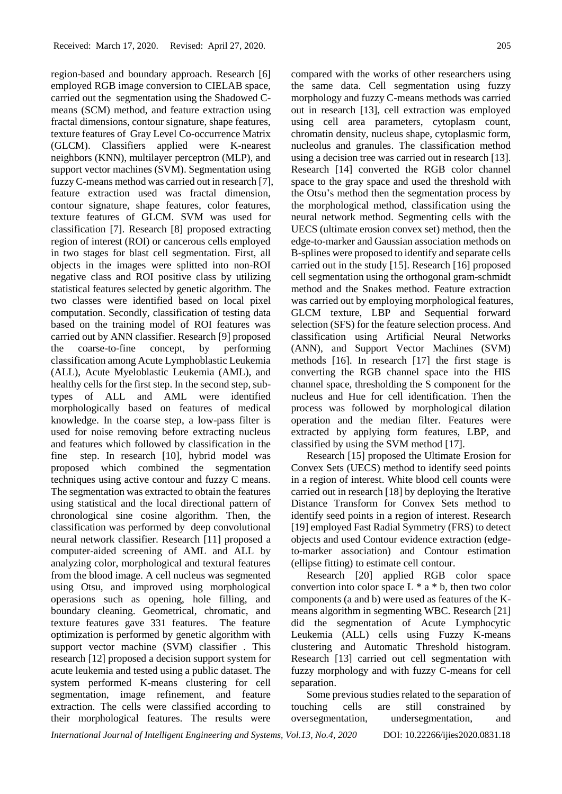region-based and boundary approach. Research [6] employed RGB image conversion to CIELAB space, carried out the segmentation using the Shadowed Cmeans (SCM) method, and feature extraction using fractal dimensions, contour signature, shape features, texture features of Gray Level Co-occurrence Matrix (GLCM). Classifiers applied were K-nearest neighbors (KNN), multilayer perceptron (MLP), and support vector machines (SVM). Segmentation using fuzzy C-means method was carried out in research [7], feature extraction used was fractal dimension, contour signature, shape features, color features, texture features of GLCM. SVM was used for classification [7]. Research [8] proposed extracting region of interest (ROI) or cancerous cells employed in two stages for blast cell segmentation. First, all objects in the images were splitted into non-ROI negative class and ROI positive class by utilizing statistical features selected by genetic algorithm. The two classes were identified based on local pixel computation. Secondly, classification of testing data based on the training model of ROI features was carried out by ANN classifier. Research [9] proposed the coarse-to-fine concept, by performing classification among Acute Lymphoblastic Leukemia (ALL), Acute Myeloblastic Leukemia (AML), and healthy cells for the first step. In the second step, subtypes of ALL and AML were identified morphologically based on features of medical knowledge. In the coarse step, a low-pass filter is used for noise removing before extracting nucleus and features which followed by classification in the fine step. In research [10], hybrid model was proposed which combined the segmentation techniques using active contour and fuzzy C means. The segmentation was extracted to obtain the features using statistical and the local directional pattern of chronological sine cosine algorithm. Then, the classification was performed by deep convolutional neural network classifier. Research [11] proposed a computer-aided screening of AML and ALL by analyzing color, morphological and textural features from the blood image. A cell nucleus was segmented using Otsu, and improved using morphological operasions such as opening, hole filling, and boundary cleaning. Geometrical, chromatic, and texture features gave 331 features. The feature optimization is performed by genetic algorithm with support vector machine (SVM) classifier . This research [12] proposed a decision support system for acute leukemia and tested using a public dataset. The system performed K-means clustering for cell segmentation, image refinement, and feature extraction. The cells were classified according to their morphological features. The results were

compared with the works of other researchers using the same data. Cell segmentation using fuzzy morphology and fuzzy C-means methods was carried out in research [13], cell extraction was employed using cell area parameters, cytoplasm count, chromatin density, nucleus shape, cytoplasmic form, nucleolus and granules. The classification method using a decision tree was carried out in research [13]. Research [14] converted the RGB color channel space to the gray space and used the threshold with the Otsu's method then the segmentation process by the morphological method, classification using the neural network method. Segmenting cells with the UECS (ultimate erosion convex set) method, then the

edge-to-marker and Gaussian association methods on B-splines were proposed to identify and separate cells carried out in the study [15]. Research [16] proposed cell segmentation using the orthogonal gram-schmidt method and the Snakes method. Feature extraction was carried out by employing morphological features, GLCM texture, LBP and Sequential forward selection (SFS) for the feature selection process. And classification using Artificial Neural Networks (ANN), and Support Vector Machines (SVM) methods [16]. In research [17] the first stage is converting the RGB channel space into the HIS channel space, thresholding the S component for the nucleus and Hue for cell identification. Then the process was followed by morphological dilation operation and the median filter. Features were extracted by applying form features, LBP, and classified by using the SVM method [17].

Research [15] proposed the Ultimate Erosion for Convex Sets (UECS) method to identify seed points in a region of interest. White blood cell counts were carried out in research [18] by deploying the Iterative Distance Transform for Convex Sets method to identify seed points in a region of interest. Research [19] employed Fast Radial Symmetry (FRS) to detect objects and used Contour evidence extraction (edgeto-marker association) and Contour estimation (ellipse fitting) to estimate cell contour.

Research [20] applied RGB color space convertion into color space  $L * a * b$ , then two color components (a and b) were used as features of the Kmeans algorithm in segmenting WBC. Research [21] did the segmentation of Acute Lymphocytic Leukemia (ALL) cells using Fuzzy K-means clustering and Automatic Threshold histogram. Research [13] carried out cell segmentation with fuzzy morphology and with fuzzy C-means for cell separation.

Some previous studies related to the separation of touching cells are still constrained by oversegmentation, undersegmentation, and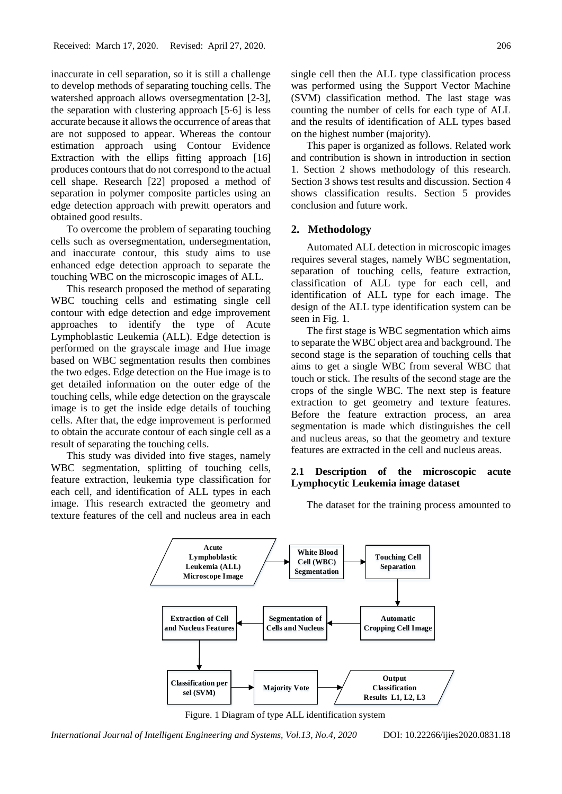inaccurate in cell separation, so it is still a challenge to develop methods of separating touching cells. The watershed approach allows oversegmentation [2-3], the separation with clustering approach [5-6] is less accurate because it allows the occurrence of areas that are not supposed to appear. Whereas the contour estimation approach using Contour Evidence Extraction with the ellips fitting approach [16] produces contours that do not correspond to the actual cell shape. Research [22] proposed a method of separation in polymer composite particles using an edge detection approach with prewitt operators and obtained good results.

To overcome the problem of separating touching cells such as oversegmentation, undersegmentation, and inaccurate contour, this study aims to use enhanced edge detection approach to separate the touching WBC on the microscopic images of ALL.

This research proposed the method of separating WBC touching cells and estimating single cell contour with edge detection and edge improvement approaches to identify the type of Acute Lymphoblastic Leukemia (ALL). Edge detection is performed on the grayscale image and Hue image based on WBC segmentation results then combines the two edges. Edge detection on the Hue image is to get detailed information on the outer edge of the touching cells, while edge detection on the grayscale image is to get the inside edge details of touching cells. After that, the edge improvement is performed to obtain the accurate contour of each single cell as a result of separating the touching cells.

This study was divided into five stages, namely WBC segmentation, splitting of touching cells, feature extraction, leukemia type classification for each cell, and identification of ALL types in each image. This research extracted the geometry and texture features of the cell and nucleus area in each

This paper is organized as follows. Related work and contribution is shown in introduction in section 1. Section 2 shows methodology of this research. Section 3 shows test results and discussion. Section 4 shows classification results. Section 5 provides conclusion and future work.

### **2. Methodology**

Automated ALL detection in microscopic images requires several stages, namely WBC segmentation, separation of touching cells, feature extraction, classification of ALL type for each cell, and identification of ALL type for each image. The design of the ALL type identification system can be seen in Fig. 1.

The first stage is WBC segmentation which aims to separate the WBC object area and background. The second stage is the separation of touching cells that aims to get a single WBC from several WBC that touch or stick. The results of the second stage are the crops of the single WBC. The next step is feature extraction to get geometry and texture features. Before the feature extraction process, an area segmentation is made which distinguishes the cell and nucleus areas, so that the geometry and texture features are extracted in the cell and nucleus areas.

# **2.1 Description of the microscopic acute Lymphocytic Leukemia image dataset**

The dataset for the training process amounted to



Figure. 1 Diagram of type ALL identification system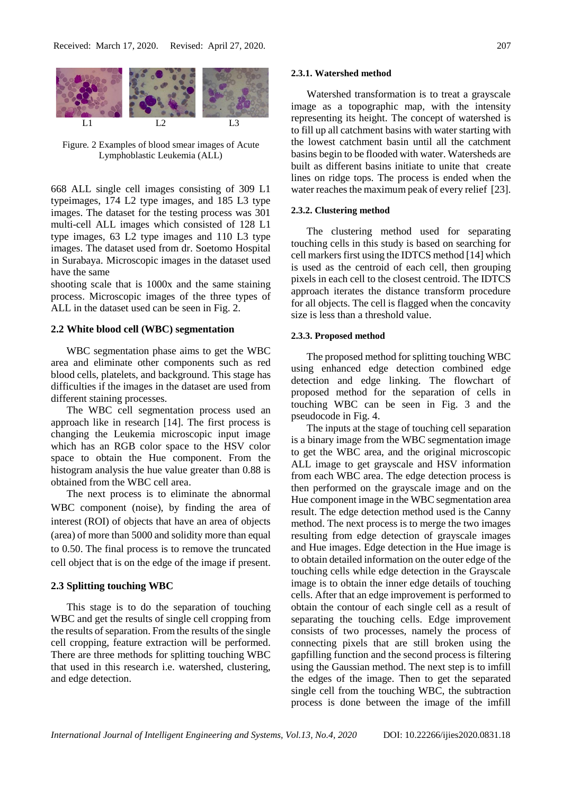

Figure*.* 2 Examples of blood smear images of Acute Lymphoblastic Leukemia (ALL)

668 ALL single cell images consisting of 309 L1 typeimages, 174 L2 type images, and 185 L3 type images. The dataset for the testing process was 301 multi-cell ALL images which consisted of 128 L1 type images, 63 L2 type images and 110 L3 type images. The dataset used from dr. Soetomo Hospital in Surabaya. Microscopic images in the dataset used have the same

shooting scale that is 1000x and the same staining process. Microscopic images of the three types of ALL in the dataset used can be seen in Fig. 2.

#### **2.2 White blood cell (WBC) segmentation**

WBC segmentation phase aims to get the WBC area and eliminate other components such as red blood cells, platelets, and background. This stage has difficulties if the images in the dataset are used from different staining processes.

The WBC cell segmentation process used an approach like in research [14]. The first process is changing the Leukemia microscopic input image which has an RGB color space to the HSV color space to obtain the Hue component. From the histogram analysis the hue value greater than 0.88 is obtained from the WBC cell area.

The next process is to eliminate the abnormal WBC component (noise), by finding the area of interest (ROI) of objects that have an area of objects (area) of more than 5000 and solidity more than equal to 0.50. The final process is to remove the truncated cell object that is on the edge of the image if present.

### **2.3 Splitting touching WBC**

This stage is to do the separation of touching WBC and get the results of single cell cropping from the results of separation. From the results of the single cell cropping, feature extraction will be performed. There are three methods for splitting touching WBC that used in this research i.e. watershed, clustering, and edge detection.

#### **2.3.1. Watershed method**

Watershed transformation is to treat a grayscale image as a topographic map, with the intensity representing its height. The concept of watershed is to fill up all catchment basins with water starting with the lowest catchment basin until all the catchment basins begin to be flooded with water. Watersheds are built as different basins initiate to unite that create lines on ridge tops. The process is ended when the water reaches the maximum peak of every relief [23].

#### **2.3.2. Clustering method**

The clustering method used for separating touching cells in this study is based on searching for cell markers first using the IDTCS method [14] which is used as the centroid of each cell, then grouping pixels in each cell to the closest centroid. The IDTCS approach iterates the distance transform procedure for all objects. The cell is flagged when the concavity size is less than a threshold value.

#### **2.3.3. Proposed method**

The proposed method for splitting touching WBC using enhanced edge detection combined edge detection and edge linking. The flowchart of proposed method for the separation of cells in touching WBC can be seen in Fig. 3 and the pseudocode in Fig. 4.

The inputs at the stage of touching cell separation is a binary image from the WBC segmentation image to get the WBC area, and the original microscopic ALL image to get grayscale and HSV information from each WBC area. The edge detection process is then performed on the grayscale image and on the Hue component image in the WBC segmentation area result. The edge detection method used is the Canny method. The next process is to merge the two images resulting from edge detection of grayscale images and Hue images. Edge detection in the Hue image is to obtain detailed information on the outer edge of the touching cells while edge detection in the Grayscale image is to obtain the inner edge details of touching cells. After that an edge improvement is performed to obtain the contour of each single cell as a result of separating the touching cells. Edge improvement consists of two processes, namely the process of connecting pixels that are still broken using the gapfilling function and the second process is filtering using the Gaussian method. The next step is to imfill the edges of the image. Then to get the separated single cell from the touching WBC, the subtraction process is done between the image of the imfill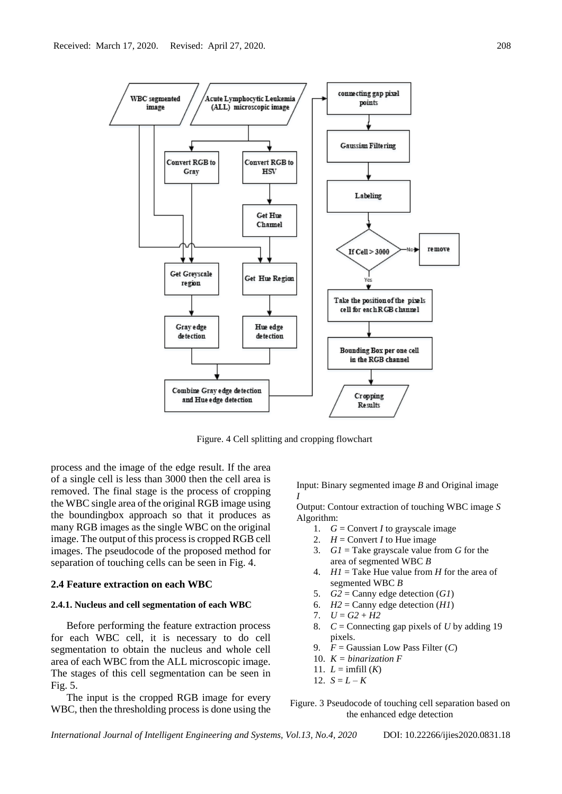

Figure. 4 Cell splitting and cropping flowchart

process and the image of the edge result. If the area of a single cell is less than 3000 then the cell area is removed. The final stage is the process of cropping the WBC single area of the original RGB image using the boundingbox approach so that it produces as many RGB images as the single WBC on the original image. The output of this process is cropped RGB cell images. The pseudocode of the proposed method for separation of touching cells can be seen in Fig. 4.

#### **2.4 Feature extraction on each WBC**

#### **2.4.1. Nucleus and cell segmentation of each WBC**

Before performing the feature extraction process for each WBC cell, it is necessary to do cell segmentation to obtain the nucleus and whole cell area of each WBC from the ALL microscopic image. The stages of this cell segmentation can be seen in Fig. 5.

The input is the cropped RGB image for every WBC, then the thresholding process is done using the Input: Binary segmented image *B* and Original image *I* 

Output: Contour extraction of touching WBC image *S* Algorithm:

- 1. *G* = Convert *I* to grayscale image
- 2.  $H =$  Convert *I* to Hue image
- 3. *G1* = Take grayscale value from *G* for the area of segmented WBC *B*
- 4. *H1* = Take Hue value from *H* for the area of segmented WBC *B*
- 5.  $G2 =$  Canny edge detection  $(G1)$
- 6.  $H2 =$  Canny edge detection  $(H1)$
- 7.  $U = G2 + H2$
- 8. *C* = Connecting gap pixels of *U* by adding 19 pixels.
- 9. *F* = Gaussian Low Pass Filter (*C*)
- 10. *K = binarization F*
- 11.  $L = \text{imfill}(K)$
- 12.  $S = L K$

Figure. 3 Pseudocode of touching cell separation based on the enhanced edge detection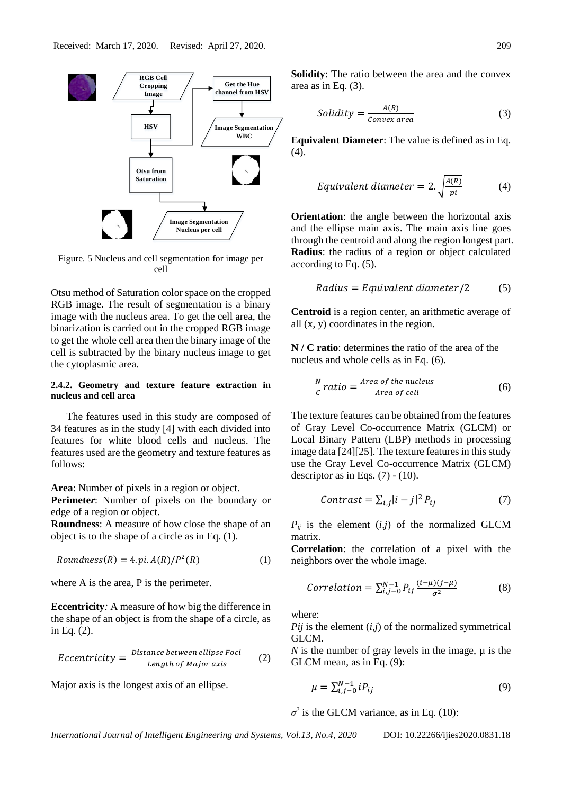

Figure*.* 5 Nucleus and cell segmentation for image per cell

Otsu method of Saturation color space on the cropped RGB image. The result of segmentation is a binary image with the nucleus area. To get the cell area, the binarization is carried out in the cropped RGB image to get the whole cell area then the binary image of the cell is subtracted by the binary nucleus image to get the cytoplasmic area.

### **2.4.2. Geometry and texture feature extraction in nucleus and cell area**

The features used in this study are composed of 34 features as in the study [4] with each divided into features for white blood cells and nucleus. The features used are the geometry and texture features as follows:

**Area**: Number of pixels in a region or object.

**Perimete***r*: Number of pixels on the boundary or edge of a region or object.

**Roundness**: A measure of how close the shape of an object is to the shape of a circle as in Eq. (1).

$$
Roundness(R) = 4. pi. A(R)/P2(R)
$$
\n(1)

where A is the area, P is the perimeter.

**Eccentricity***:* A measure of how big the difference in the shape of an object is from the shape of a circle, as in Eq. (2).

$$
Eccentricity = \frac{Distance\ between\ ellipse\ Foci}{Length\ of\ Major\ axis} \qquad (2)
$$

Major axis is the longest axis of an ellipse.

**Solidity**: The ratio between the area and the convex area as in Eq. (3).

$$
Solidity = \frac{A(R)}{Convex\, area} \tag{3}
$$

**Equivalent Diameter**: The value is defined as in Eq.  $(4).$ 

$$
Equivalent\ diameter = 2. \sqrt{\frac{A(R)}{pi}} \tag{4}
$$

**Orientation**: the angle between the horizontal axis and the ellipse main axis. The main axis line goes through the centroid and along the region longest part. **Radius**: the radius of a region or object calculated according to Eq. (5).

Radius = Equivalent diameter/2 
$$
(5)
$$

**Centroid** is a region center, an arithmetic average of all (x, y) coordinates in the region.

**N / C ratio**: determines the ratio of the area of the nucleus and whole cells as in Eq. (6).

$$
\frac{N}{c} ratio = \frac{Area\ of\ the\ nucleus}{Area\ of\ cell}
$$
 (6)

The texture features can be obtained from the features of Gray Level Co-occurrence Matrix (GLCM) or Local Binary Pattern (LBP) methods in processing image data [24][25]. The texture features in this study use the Gray Level Co-occurrence Matrix (GLCM) descriptor as in Eqs.  $(7)$  -  $(10)$ .

$$
Contrast = \sum_{i,j} |i - j|^2 P_{ij}
$$
 (7)

 $P_{ii}$  is the element  $(i,j)$  of the normalized GLCM matrix.

**Correlation**: the correlation of a pixel with the neighbors over the whole image.

$$
Correlation = \sum_{i,j=0}^{N-1} P_{ij} \frac{(i-\mu)(j-\mu)}{\sigma^2}
$$
 (8)

where:

*Pij* is the element (*i,j*) of th[e normalized symmetrical](https://support.echoview.com/WebHelp/Windows_and_Dialog_Boxes/Dialog_Boxes/Variable_properties_dialog_box/Operator_pages/GLCM_Texture_Features.htm#About_the_GLCM_and_textures)  [GLCM.](https://support.echoview.com/WebHelp/Windows_and_Dialog_Boxes/Dialog_Boxes/Variable_properties_dialog_box/Operator_pages/GLCM_Texture_Features.htm#About_the_GLCM_and_textures)

*N* is the number of gray levels in the image,  $\mu$  is the GLCM mean, as in Eq. (9):

$$
\mu = \sum_{i,j=0}^{N-1} i P_{ij} \tag{9}
$$

 $\sigma^2$  is the GLCM variance, as in Eq. (10):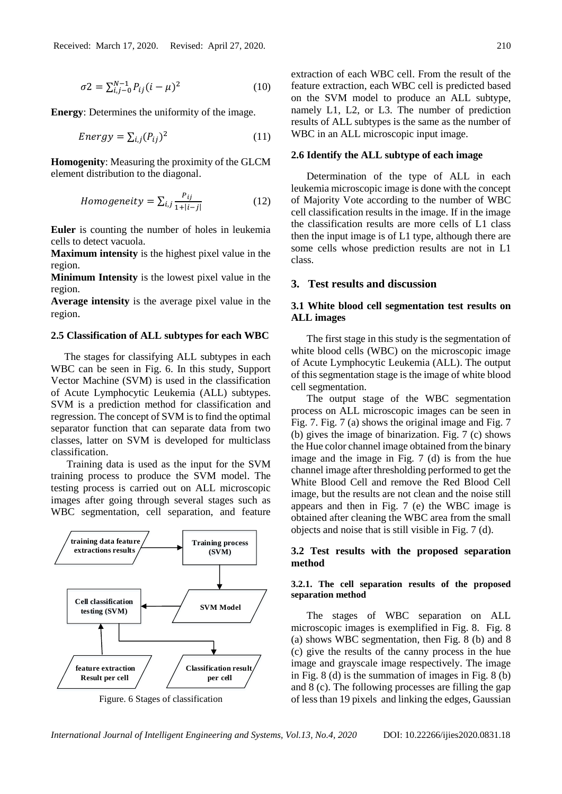$$
\sigma_2 = \sum_{i,j=0}^{N-1} P_{ij} (i - \mu)^2
$$
 (10)

**Energy**: Determines the uniformity of the image.

$$
Energy = \sum_{i,j} (P_{ij})^2
$$
 (11)

**Homogenity**: Measuring the proximity of the GLCM element distribution to the diagonal.

$$
Homogeneity = \sum_{i,j} \frac{P_{ij}}{1 + |i - j|}
$$
 (12)

**Euler** is counting the number of holes in leukemia cells to detect vacuola.

**Maximum intensity** is the highest pixel value in the region.

**Minimum Intensity** is the lowest pixel value in the region.

**Average intensity** is the average pixel value in the region.

#### **2.5 Classification of ALL subtypes for each WBC**

The stages for classifying ALL subtypes in each WBC can be seen in Fig. 6. In this study, Support Vector Machine (SVM) is used in the classification of Acute Lymphocytic Leukemia (ALL) subtypes. SVM is a prediction method for classification and regression. The concept of SVM is to find the optimal separator function that can separate data from two classes, latter on SVM is developed for multiclass classification.

Training data is used as the input for the SVM training process to produce the SVM model. The testing process is carried out on ALL microscopic images after going through several stages such as WBC segmentation, cell separation, and feature



Figure. 6 Stages of classification

extraction of each WBC cell. From the result of the feature extraction, each WBC cell is predicted based on the SVM model to produce an ALL subtype, namely L1, L2, or L3. The number of prediction results of ALL subtypes is the same as the number of WBC in an ALL microscopic input image.

#### **2.6 Identify the ALL subtype of each image**

Determination of the type of ALL in each leukemia microscopic image is done with the concept of Majority Vote according to the number of WBC cell classification results in the image. If in the image the classification results are more cells of L1 class then the input image is of L1 type, although there are some cells whose prediction results are not in L1 class.

# **3. Test results and discussion**

# **3.1 White blood cell segmentation test results on ALL images**

The first stage in this study is the segmentation of white blood cells (WBC) on the microscopic image of Acute Lymphocytic Leukemia (ALL). The output of this segmentation stage is the image of white blood cell segmentation.

The output stage of the WBC segmentation process on ALL microscopic images can be seen in Fig. 7. Fig. 7 (a) shows the original image and Fig. 7 (b) gives the image of binarization. Fig. 7 (c) shows the Hue color channel image obtained from the binary image and the image in Fig. 7 (d) is from the hue channel image after thresholding performed to get the White Blood Cell and remove the Red Blood Cell image, but the results are not clean and the noise still appears and then in Fig. 7 (e) the WBC image is obtained after cleaning the WBC area from the small objects and noise that is still visible in Fig. 7 (d).

# **3.2 Test results with the proposed separation method**

### **3.2.1. The cell separation results of the proposed separation method**

The stages of WBC separation on ALL microscopic images is exemplified in Fig. 8. Fig. 8 (a) shows WBC segmentation, then Fig. 8 (b) and 8 (c) give the results of the canny process in the hue image and grayscale image respectively. The image in Fig. 8 (d) is the summation of images in Fig. 8 (b) and 8 (c). The following processes are filling the gap of less than 19 pixels and linking the edges, Gaussian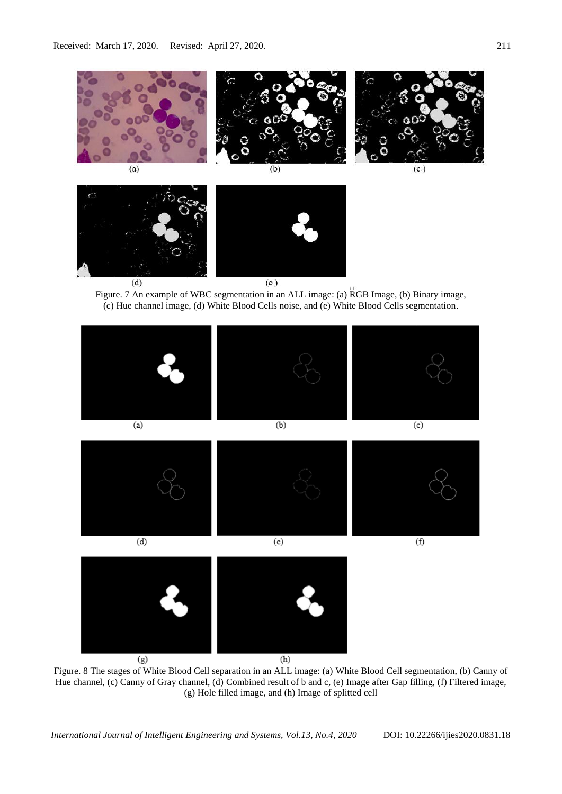

Figure. 7 An example of WBC segmentation in an ALL image: (a) RGB Image, (b) Binary image, (c) Hue channel image, (d) White Blood Cells noise, and (e) White Blood Cells segmentation.



Figure. 8 The stages of White Blood Cell separation in an ALL image: (a) White Blood Cell segmentation, (b) Canny of Hue channel, (c) Canny of Gray channel, (d) Combined result of b and c, (e) Image after Gap filling, (f) Filtered image, (g) Hole filled image, and (h) Image of splitted cell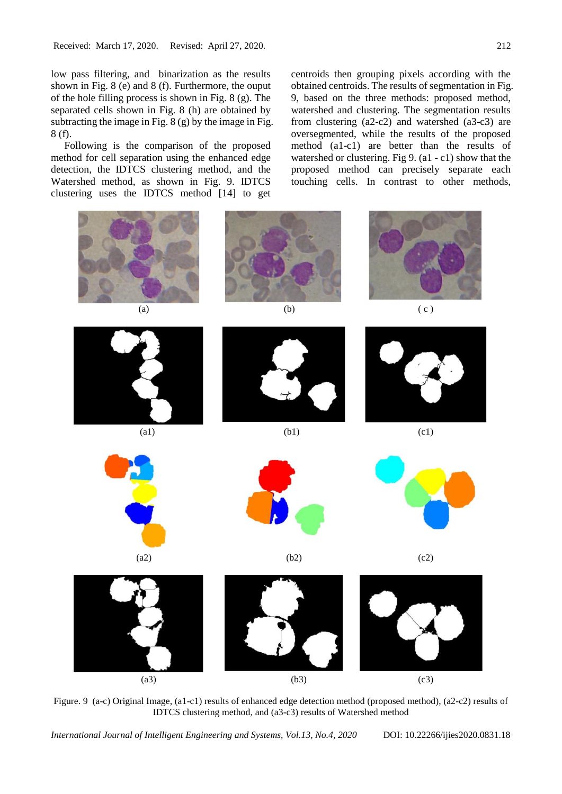low pass filtering, and binarization as the results shown in Fig. 8 (e) and 8 (f). Furthermore, the ouput of the hole filling process is shown in Fig. 8 (g). The separated cells shown in Fig. 8 (h) are obtained by subtracting the image in Fig.  $8(g)$  by the image in Fig. 8 (f).

Following is the comparison of the proposed method for cell separation using the enhanced edge detection, the IDTCS clustering method, and the Watershed method, as shown in Fig. 9. IDTCS clustering uses the IDTCS method [14] to get centroids then grouping pixels according with the obtained centroids. The results of segmentation in Fig. 9, based on the three methods: proposed method, watershed and clustering. The segmentation results from clustering (a2-c2) and watershed (a3-c3) are oversegmented, while the results of the proposed method (a1-c1) are better than the results of watershed or clustering. Fig 9. (a1 - c1) show that the proposed method can precisely separate each touching cells. In contrast to other methods,



Figure. 9 (a-c) Original Image, (a1-c1) results of enhanced edge detection method (proposed method), (a2-c2) results of IDTCS clustering method, and (a3-c3) results of Watershed method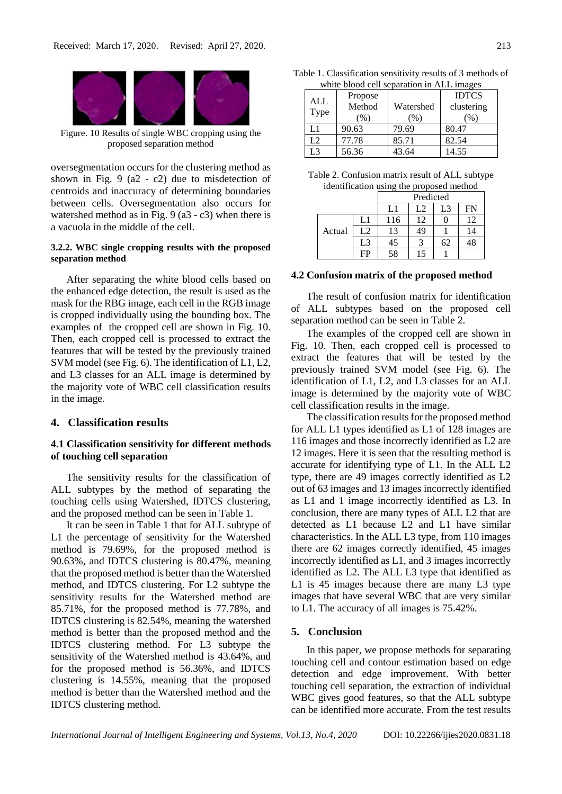

Figure. 10 Results of single WBC cropping using the proposed separation method

oversegmentation occurs for the clustering method as shown in Fig. 9 (a2 - c2) due to misdetection of centroids and inaccuracy of determining boundaries between cells. Oversegmentation also occurs for watershed method as in Fig. 9 (a3 - c3) when there is a vacuola in the middle of the cell.

### **3.2.2. WBC single cropping results with the proposed separation method**

After separating the white blood cells based on the enhanced edge detection, the result is used as the mask for the RBG image, each cell in the RGB image is cropped individually using the bounding box. The examples of the cropped cell are shown in Fig. 10. Then, each cropped cell is processed to extract the features that will be tested by the previously trained SVM model (see Fig. 6). The identification of L1, L2, and L3 classes for an ALL image is determined by the majority vote of WBC cell classification results in the image.

## **4. Classification results**

# **4.1 Classification sensitivity for different methods of touching cell separation**

The sensitivity results for the classification of ALL subtypes by the method of separating the touching cells using Watershed, IDTCS clustering, and the proposed method can be seen in Table 1.

It can be seen in Table 1 that for ALL subtype of L1 the percentage of sensitivity for the Watershed method is 79.69%, for the proposed method is 90.63%, and IDTCS clustering is 80.47%, meaning that the proposed method is better than the Watershed method, and IDTCS clustering. For L2 subtype the sensitivity results for the Watershed method are 85.71%, for the proposed method is 77.78%, and IDTCS clustering is 82.54%, meaning the watershed method is better than the proposed method and the IDTCS clustering method. For L3 subtype the sensitivity of the Watershed method is 43.64%, and for the proposed method is 56.36%, and IDTCS clustering is 14.55%, meaning that the proposed method is better than the Watershed method and the IDTCS clustering method.

| Table 1. Classification sensitivity results of 3 methods of |  |  |
|-------------------------------------------------------------|--|--|
| white blood cell separation in ALL images                   |  |  |

| ALL<br>Type | Propose<br>Method<br>(% ) | Watershed<br>(% ) | <b>IDTCS</b><br>clustering<br>$\%$ |
|-------------|---------------------------|-------------------|------------------------------------|
| L1          | 90.63                     | 79.69             | 80.47                              |
| L2          | 77.78                     | 85.71             | 82.54                              |
| L3          | 56.36                     | 43.64             | 14.55                              |

| Table 2. Confusion matrix result of ALL subtype |
|-------------------------------------------------|
| identification using the proposed method        |

|        |    | Predicted |    |    |    |
|--------|----|-----------|----|----|----|
|        |    | L1        | L2 | L3 | FN |
|        | L1 | 116       | 12 |    | 12 |
| Actual | L2 | 13        | 49 |    | 14 |
|        | L3 | 45        | 3  | 62 |    |
|        | FP | 58        | 15 |    |    |

#### **4.2 Confusion matrix of the proposed method**

The result of confusion matrix for identification of ALL subtypes based on the proposed cell separation method can be seen in Table 2.

The examples of the cropped cell are shown in Fig. 10. Then, each cropped cell is processed to extract the features that will be tested by the previously trained SVM model (see Fig. 6). The identification of L1, L2, and L3 classes for an ALL image is determined by the majority vote of WBC cell classification results in the image.

The classification results for the proposed method for ALL L1 types identified as L1 of 128 images are 116 images and those incorrectly identified as L2 are 12 images. Here it is seen that the resulting method is accurate for identifying type of L1. In the ALL L2 type, there are 49 images correctly identified as L2 out of 63 images and 13 images incorrectly identified as L1 and 1 image incorrectly identified as L3. In conclusion, there are many types of ALL L2 that are detected as L1 because L2 and L1 have similar characteristics. In the ALL L3 type, from 110 images there are 62 images correctly identified, 45 images incorrectly identified as L1, and 3 images incorrectly identified as L2. The ALL L3 type that identified as L1 is 45 images because there are many L3 type images that have several WBC that are very similar to L1. The accuracy of all images is 75.42%.

#### **5. Conclusion**

In this paper, we propose methods for separating touching cell and contour estimation based on edge detection and edge improvement. With better touching cell separation, the extraction of individual WBC gives good features, so that the ALL subtype can be identified more accurate. From the test results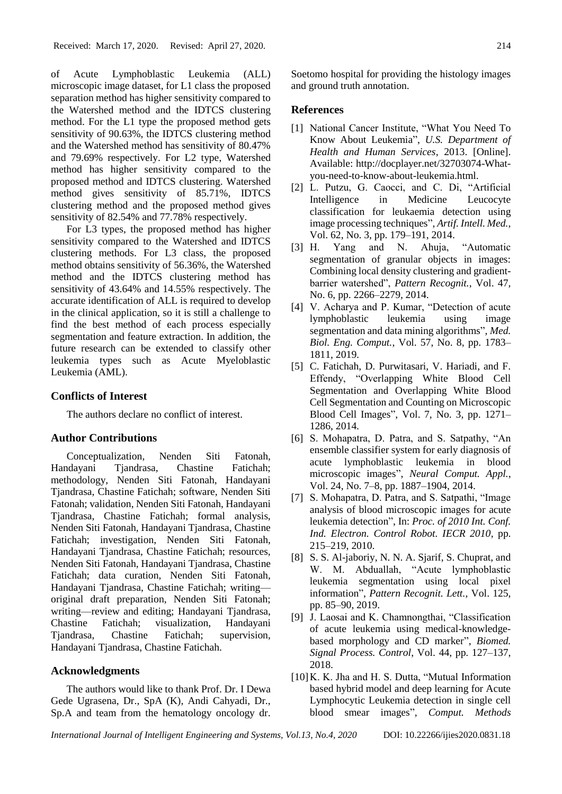of Acute Lymphoblastic Leukemia (ALL) microscopic image dataset, for L1 class the proposed separation method has higher sensitivity compared to the Watershed method and the IDTCS clustering method. For the L1 type the proposed method gets sensitivity of 90.63%, the IDTCS clustering method and the Watershed method has sensitivity of 80.47% and 79.69% respectively. For L2 type, Watershed method has higher sensitivity compared to the proposed method and IDTCS clustering. Watershed method gives sensitivity of 85.71%, IDTCS clustering method and the proposed method gives sensitivity of 82.54% and 77.78% respectively.

For L3 types, the proposed method has higher sensitivity compared to the Watershed and IDTCS clustering methods. For L3 class, the proposed method obtains sensitivity of 56.36%, the Watershed method and the IDTCS clustering method has sensitivity of 43.64% and 14.55% respectively. The accurate identification of ALL is required to develop in the clinical application, so it is still a challenge to find the best method of each process especially segmentation and feature extraction. In addition, the future research can be extended to classify other leukemia types such as Acute Myeloblastic Leukemia (AML).

# **Conflicts of Interest**

The authors declare no conflict of interest.

## **Author Contributions**

Conceptualization, Nenden Siti Fatonah, Handayani Tjandrasa, Chastine Fatichah; methodology, Nenden Siti Fatonah, Handayani Tjandrasa, Chastine Fatichah; software, Nenden Siti Fatonah; validation, Nenden Siti Fatonah, Handayani Tjandrasa, Chastine Fatichah; formal analysis, Nenden Siti Fatonah, Handayani Tjandrasa, Chastine Fatichah; investigation, Nenden Siti Fatonah, Handayani Tjandrasa, Chastine Fatichah; resources, Nenden Siti Fatonah, Handayani Tjandrasa, Chastine Fatichah; data curation, Nenden Siti Fatonah, Handayani Tjandrasa, Chastine Fatichah; writing original draft preparation, Nenden Siti Fatonah; writing—review and editing; Handayani Tjandrasa, Chastine Fatichah; visualization, Handayani Tjandrasa, Chastine Fatichah; supervision, Handayani Tjandrasa, Chastine Fatichah.

# **Acknowledgments**

The authors would like to thank Prof. Dr. I Dewa Gede Ugrasena, Dr., SpA (K), Andi Cahyadi, Dr., Sp.A and team from the hematology oncology dr.

Soetomo hospital for providing the histology images and ground truth annotation.

# **References**

- [1] National Cancer Institute, "What You Need To Know About Leukemia", *U.S. Department of Health and Human Services*, 2013. [Online]. Available: http://docplayer.net/32703074-Whatyou-need-to-know-about-leukemia.html.
- [2] L. Putzu, G. Caocci, and C. Di, "Artificial Intelligence in Medicine Leucocyte classification for leukaemia detection using image processing techniques", *Artif. Intell. Med.*, Vol. 62, No. 3, pp. 179–191, 2014.
- [3] H. Yang and N. Ahuja, "Automatic segmentation of granular objects in images: Combining local density clustering and gradientbarrier watershed", *Pattern Recognit.*, Vol. 47, No. 6, pp. 2266–2279, 2014.
- [4] V. Acharya and P. Kumar, "Detection of acute lymphoblastic leukemia using image segmentation and data mining algorithms", *Med. Biol. Eng. Comput.*, Vol. 57, No. 8, pp. 1783– 1811, 2019.
- [5] C. Fatichah, D. Purwitasari, V. Hariadi, and F. Effendy, "Overlapping White Blood Cell Segmentation and Overlapping White Blood Cell Segmentation and Counting on Microscopic Blood Cell Images", Vol. 7, No. 3, pp. 1271– 1286, 2014.
- [6] S. Mohapatra, D. Patra, and S. Satpathy, "An ensemble classifier system for early diagnosis of acute lymphoblastic leukemia in blood microscopic images", *Neural Comput. Appl.*, Vol. 24, No. 7–8, pp. 1887–1904, 2014.
- [7] S. Mohapatra, D. Patra, and S. Satpathi, "Image analysis of blood microscopic images for acute leukemia detection", In: *Proc. of 2010 Int. Conf. Ind. Electron. Control Robot. IECR 2010*, pp. 215–219, 2010.
- [8] S. S. Al-jaboriy, N. N. A. Sjarif, S. Chuprat, and W. M. Abduallah, "Acute lymphoblastic leukemia segmentation using local pixel information", *Pattern Recognit. Lett.*, Vol. 125, pp. 85–90, 2019.
- [9] J. Laosai and K. Chamnongthai, "Classification of acute leukemia using medical-knowledgebased morphology and CD marker", *Biomed. Signal Process. Control*, Vol. 44, pp. 127–137, 2018.
- [10]K. K. Jha and H. S. Dutta, "Mutual Information based hybrid model and deep learning for Acute Lymphocytic Leukemia detection in single cell blood smear images", *Comput. Methods*